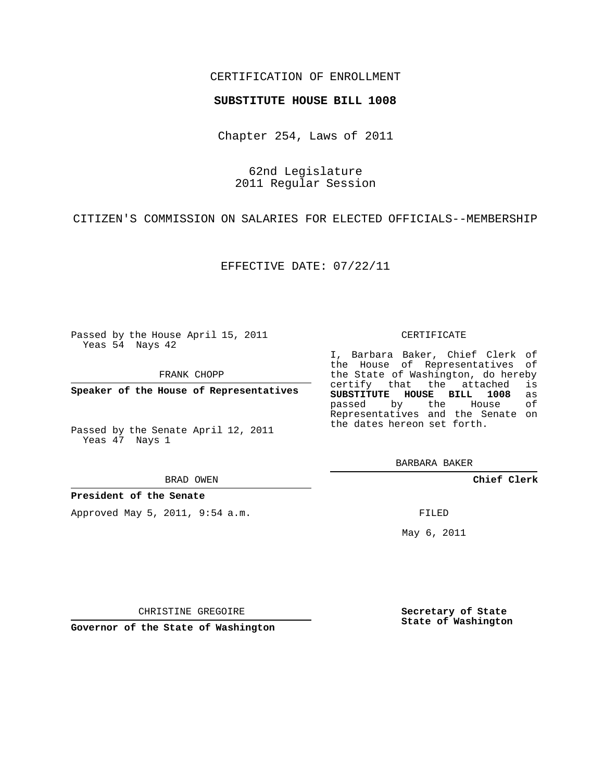### CERTIFICATION OF ENROLLMENT

#### **SUBSTITUTE HOUSE BILL 1008**

Chapter 254, Laws of 2011

62nd Legislature 2011 Regular Session

CITIZEN'S COMMISSION ON SALARIES FOR ELECTED OFFICIALS--MEMBERSHIP

EFFECTIVE DATE: 07/22/11

Passed by the House April 15, 2011 Yeas 54 Nays 42

FRANK CHOPP

**Speaker of the House of Representatives**

Passed by the Senate April 12, 2011 Yeas 47 Nays 1

#### BRAD OWEN

### **President of the Senate**

Approved May 5, 2011, 9:54 a.m.

### CERTIFICATE

I, Barbara Baker, Chief Clerk of the House of Representatives of the State of Washington, do hereby<br>certify that the attached is certify that the attached **SUBSTITUTE HOUSE BILL 1008** as passed by the House of Representatives and the Senate on the dates hereon set forth.

BARBARA BAKER

**Chief Clerk**

FILED

May 6, 2011

**Secretary of State State of Washington**

CHRISTINE GREGOIRE

**Governor of the State of Washington**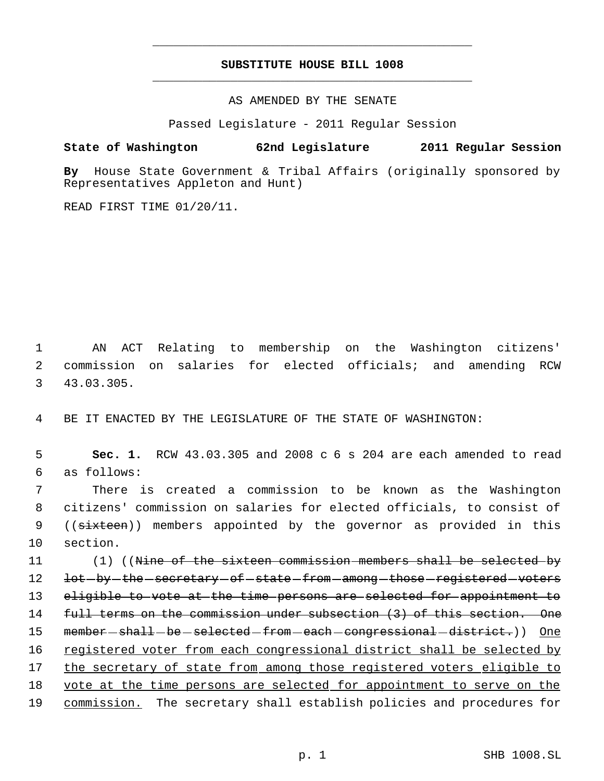# **SUBSTITUTE HOUSE BILL 1008** \_\_\_\_\_\_\_\_\_\_\_\_\_\_\_\_\_\_\_\_\_\_\_\_\_\_\_\_\_\_\_\_\_\_\_\_\_\_\_\_\_\_\_\_\_

\_\_\_\_\_\_\_\_\_\_\_\_\_\_\_\_\_\_\_\_\_\_\_\_\_\_\_\_\_\_\_\_\_\_\_\_\_\_\_\_\_\_\_\_\_

AS AMENDED BY THE SENATE

Passed Legislature - 2011 Regular Session

## **State of Washington 62nd Legislature 2011 Regular Session**

**By** House State Government & Tribal Affairs (originally sponsored by Representatives Appleton and Hunt)

READ FIRST TIME 01/20/11.

 1 AN ACT Relating to membership on the Washington citizens' 2 commission on salaries for elected officials; and amending RCW 3 43.03.305.

4 BE IT ENACTED BY THE LEGISLATURE OF THE STATE OF WASHINGTON:

 5 **Sec. 1.** RCW 43.03.305 and 2008 c 6 s 204 are each amended to read 6 as follows:

 7 There is created a commission to be known as the Washington 8 citizens' commission on salaries for elected officials, to consist of 9 ((sixteen)) members appointed by the governor as provided in this 10 section.

11 (1) ((Nine of the sixteen commission members shall be selected by 12 <del>lot by the secretary of state from among those registered voters</del> 13 eligible to vote at the time persons are selected for appointment to 14 full terms on the commission under subsection (3) of this section. One 15 member—shall—be—selected—from—each—congressional—district.)) One 16 registered voter from each congressional district shall be selected by 17 the secretary of state from among those registered voters eligible to 18 vote at the time persons are selected for appointment to serve on the 19 commission. The secretary shall establish policies and procedures for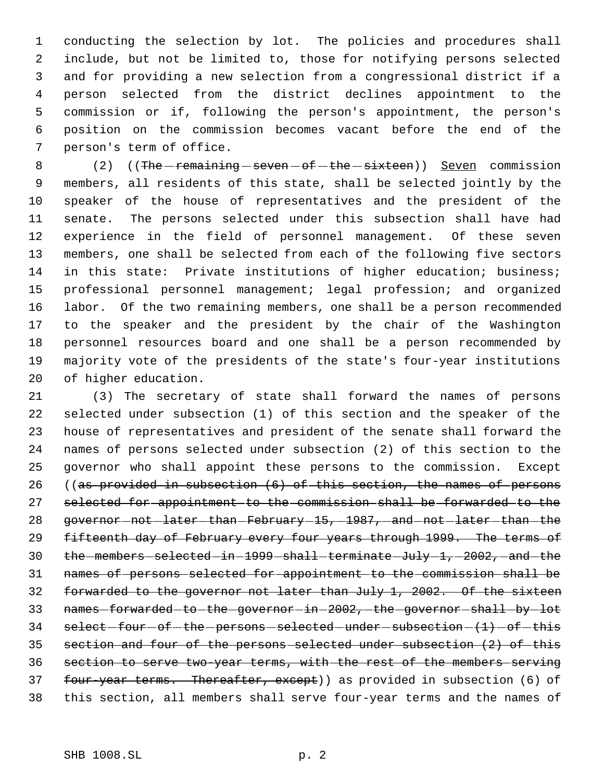conducting the selection by lot. The policies and procedures shall include, but not be limited to, those for notifying persons selected and for providing a new selection from a congressional district if a person selected from the district declines appointment to the commission or if, following the person's appointment, the person's position on the commission becomes vacant before the end of the person's term of office.

8 (2) ((The remaining seven of the sixteen)) Seven commission members, all residents of this state, shall be selected jointly by the speaker of the house of representatives and the president of the senate. The persons selected under this subsection shall have had experience in the field of personnel management. Of these seven members, one shall be selected from each of the following five sectors in this state: Private institutions of higher education; business; professional personnel management; legal profession; and organized labor. Of the two remaining members, one shall be a person recommended to the speaker and the president by the chair of the Washington personnel resources board and one shall be a person recommended by majority vote of the presidents of the state's four-year institutions of higher education.

 (3) The secretary of state shall forward the names of persons selected under subsection (1) of this section and the speaker of the house of representatives and president of the senate shall forward the names of persons selected under subsection (2) of this section to the governor who shall appoint these persons to the commission. Except ((as provided in subsection (6) of this section, the names of persons selected for appointment to the commission shall be forwarded to the 28 governor - not - later - than - February - 15, -1987, - and - not - later - than - the 29 fifteenth day of February every four years through 1999. The terms of 30 the members selected in 1999 shall terminate July 1, 2002, and the names of persons selected for appointment to the commission shall be forwarded to the governor not later than July 1, 2002. Of the sixteen 33 names-forwarded-to-the-governor-in-2002,-the-governor-shall-by-lot select -four -of -the -persons -selected -under -subsection  $(1)$  -of -this section and four of the persons selected under subsection (2) of this section to serve two-year terms, with the rest of the members serving 37 four-year terms. Thereafter, except)) as provided in subsection (6) of this section, all members shall serve four-year terms and the names of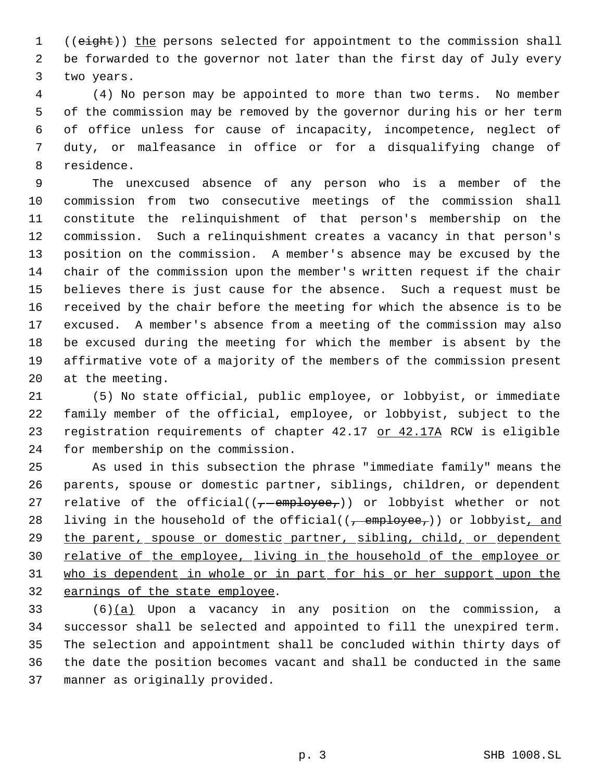1 ((eight)) the persons selected for appointment to the commission shall be forwarded to the governor not later than the first day of July every two years.

 (4) No person may be appointed to more than two terms. No member of the commission may be removed by the governor during his or her term of office unless for cause of incapacity, incompetence, neglect of duty, or malfeasance in office or for a disqualifying change of residence.

 The unexcused absence of any person who is a member of the commission from two consecutive meetings of the commission shall constitute the relinquishment of that person's membership on the commission. Such a relinquishment creates a vacancy in that person's position on the commission. A member's absence may be excused by the chair of the commission upon the member's written request if the chair believes there is just cause for the absence. Such a request must be received by the chair before the meeting for which the absence is to be excused. A member's absence from a meeting of the commission may also be excused during the meeting for which the member is absent by the affirmative vote of a majority of the members of the commission present at the meeting.

 (5) No state official, public employee, or lobbyist, or immediate family member of the official, employee, or lobbyist, subject to the 23 registration requirements of chapter 42.17 or 42.17A RCW is eligible for membership on the commission.

 As used in this subsection the phrase "immediate family" means the parents, spouse or domestic partner, siblings, children, or dependent 27 relative of the official( $(-$ -employee,)) or lobbyist whether or not 28 living in the household of the official( $(-\text{employee}_7)$ ) or lobbyist, and 29 the parent, spouse or domestic partner, sibling, child, or dependent 30 relative of the employee, living in the household of the employee or 31 who is dependent in whole or in part for his or her support upon the earnings of the state employee.

 (6)(a) Upon a vacancy in any position on the commission, a successor shall be selected and appointed to fill the unexpired term. The selection and appointment shall be concluded within thirty days of the date the position becomes vacant and shall be conducted in the same manner as originally provided.